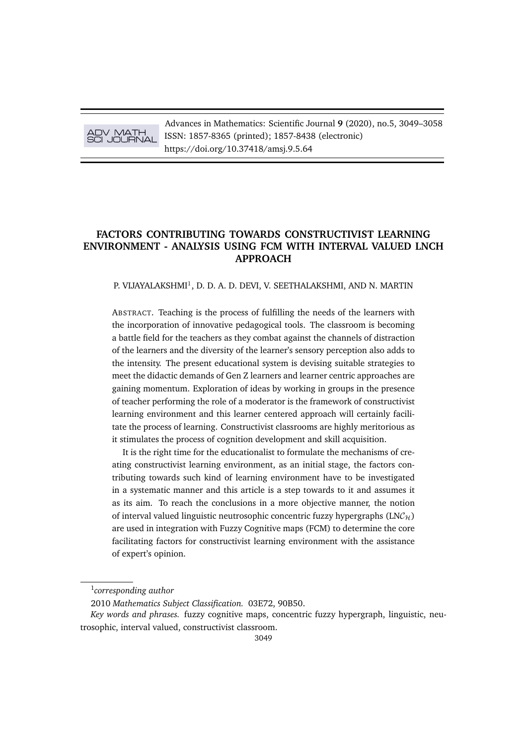# ADV MATH SCI JOURNAL

Advances in Mathematics: Scientific Journal **9** (2020), no.5, 3049–3058 ISSN: 1857-8365 (printed); 1857-8438 (electronic) https://doi.org/10.37418/amsj.9.5.64

# **FACTORS CONTRIBUTING TOWARDS CONSTRUCTIVIST LEARNING ENVIRONMENT - ANALYSIS USING FCM WITH INTERVAL VALUED LNCH APPROACH**

## P. VIJAYALAKSHMI<sup>1</sup>, D. D. A. D. DEVI, V. SEETHALAKSHMI, AND N. MARTIN

ABSTRACT. Teaching is the process of fulfilling the needs of the learners with the incorporation of innovative pedagogical tools. The classroom is becoming a battle field for the teachers as they combat against the channels of distraction of the learners and the diversity of the learner's sensory perception also adds to the intensity. The present educational system is devising suitable strategies to meet the didactic demands of Gen Z learners and learner centric approaches are gaining momentum. Exploration of ideas by working in groups in the presence of teacher performing the role of a moderator is the framework of constructivist learning environment and this learner centered approach will certainly facilitate the process of learning. Constructivist classrooms are highly meritorious as it stimulates the process of cognition development and skill acquisition.

It is the right time for the educationalist to formulate the mechanisms of creating constructivist learning environment, as an initial stage, the factors contributing towards such kind of learning environment have to be investigated in a systematic manner and this article is a step towards to it and assumes it as its aim. To reach the conclusions in a more objective manner, the notion of interval valued linguistic neutrosophic concentric fuzzy hypergraphs  $(LNC_{\mathcal{H}})$ are used in integration with Fuzzy Cognitive maps (FCM) to determine the core facilitating factors for constructivist learning environment with the assistance of expert's opinion.

<sup>1</sup> *corresponding author*

<sup>2010</sup> *Mathematics Subject Classification.* 03E72, 90B50.

*Key words and phrases.* fuzzy cognitive maps, concentric fuzzy hypergraph, linguistic, neutrosophic, interval valued, constructivist classroom.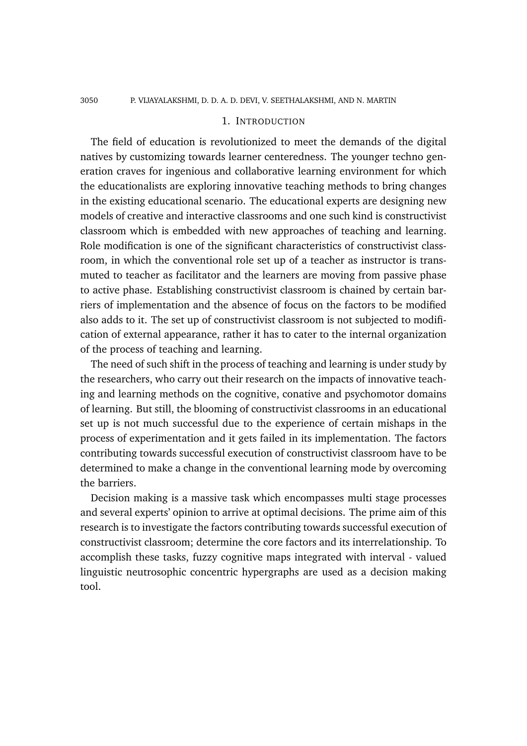#### 3050 P. VIJAYALAKSHMI, D. D. A. D. DEVI, V. SEETHALAKSHMI, AND N. MARTIN

## 1. INTRODUCTION

The field of education is revolutionized to meet the demands of the digital natives by customizing towards learner centeredness. The younger techno generation craves for ingenious and collaborative learning environment for which the educationalists are exploring innovative teaching methods to bring changes in the existing educational scenario. The educational experts are designing new models of creative and interactive classrooms and one such kind is constructivist classroom which is embedded with new approaches of teaching and learning. Role modification is one of the significant characteristics of constructivist classroom, in which the conventional role set up of a teacher as instructor is transmuted to teacher as facilitator and the learners are moving from passive phase to active phase. Establishing constructivist classroom is chained by certain barriers of implementation and the absence of focus on the factors to be modified also adds to it. The set up of constructivist classroom is not subjected to modification of external appearance, rather it has to cater to the internal organization of the process of teaching and learning.

The need of such shift in the process of teaching and learning is under study by the researchers, who carry out their research on the impacts of innovative teaching and learning methods on the cognitive, conative and psychomotor domains of learning. But still, the blooming of constructivist classrooms in an educational set up is not much successful due to the experience of certain mishaps in the process of experimentation and it gets failed in its implementation. The factors contributing towards successful execution of constructivist classroom have to be determined to make a change in the conventional learning mode by overcoming the barriers.

Decision making is a massive task which encompasses multi stage processes and several experts' opinion to arrive at optimal decisions. The prime aim of this research is to investigate the factors contributing towards successful execution of constructivist classroom; determine the core factors and its interrelationship. To accomplish these tasks, fuzzy cognitive maps integrated with interval - valued linguistic neutrosophic concentric hypergraphs are used as a decision making tool.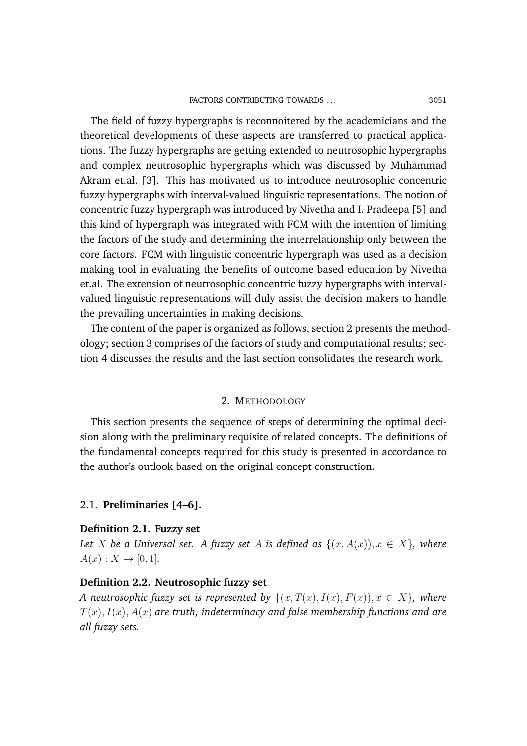The field of fuzzy hypergraphs is reconnoitered by the academicians and the theoretical developments of these aspects are transferred to practical applications. The fuzzy hypergraphs are getting extended to neutrosophic hypergraphs and complex neutrosophic hypergraphs which was discussed by Muhammad Akram et.al. [3]. This has motivated us to introduce neutrosophic concentric fuzzy hypergraphs with interval-valued linguistic representations. The notion of concentric fuzzy hypergraph was introduced by Nivetha and I. Pradeepa [5] and this kind of hypergraph was integrated with FCM with the intention of limiting the factors of the study and determining the interrelationship only between the core factors. FCM with linguistic concentric hypergraph was used as a decision making tool in evaluating the benefits of outcome based education by Nivetha et.al. The extension of neutrosophic concentric fuzzy hypergraphs with intervalvalued linguistic representations will duly assist the decision makers to handle the prevailing uncertainties in making decisions.

The content of the paper is organized as follows, section 2 presents the methodology; section 3 comprises of the factors of study and computational results; section 4 discusses the results and the last section consolidates the research work.

## 2. METHODOLOGY

This section presents the sequence of steps of determining the optimal decision along with the preliminary requisite of related concepts. The definitions of the fundamental concepts required for this study is presented in accordance to the author's outlook based on the original concept construction.

## 2.1. **Preliminaries [4–6].**

## **Definition 2.1. Fuzzy set**

*Let X be a Universal set. A fuzzy set A is defined as*  $\{(x, A(x)), x \in X\}$ *, where*  $A(x) : X \to [0, 1].$ 

## **Definition 2.2. Neutrosophic fuzzy set**

*A neutrosophic fuzzy set is represented by*  $\{(x, T(x), I(x), F(x)), x \in X\}$ , where  $T(x)$ ,  $I(x)$ ,  $A(x)$  *are truth, indeterminacy and false membership functions and are all fuzzy sets.*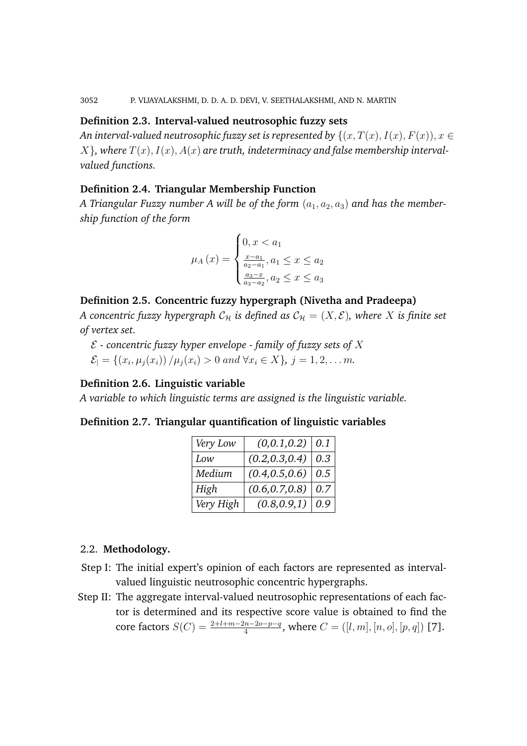# **Definition 2.3. Interval-valued neutrosophic fuzzy sets**

*An interval-valued neutrosophic fuzzy set is represented by*  $\{(x, T(x), I(x), F(x)), x \in$  $X$ , where  $T(x)$ ,  $I(x)$ ,  $A(x)$  are truth, indeterminacy and false membership interval*valued functions.*

# **Definition 2.4. Triangular Membership Function**

*A Triangular Fuzzy number A will be of the form*  $(a_1, a_2, a_3)$  *and has the membership function of the form*

$$
\mu_A(x) = \begin{cases} 0, x < a_1 \\ \frac{x - a_1}{a_2 - a_1}, a_1 \le x \le a_2 \\ \frac{a_3 - x}{a_3 - a_2}, a_2 \le x \le a_3 \end{cases}
$$

# **Definition 2.5. Concentric fuzzy hypergraph (Nivetha and Pradeepa)**

*A concentric fuzzy hypergraph*  $C_H$  *is defined as*  $C_H = (X, \mathcal{E})$ *, where* X *is finite set of vertex set.*

E *- concentric fuzzy hyper envelope - family of fuzzy sets of* X  $\mathcal{E}_{\vert} = \{ (x_i, \mu_j(x_i)) / \mu_j(x_i) > 0 \text{ and } \forall x_i \in X \}, j = 1, 2, \dots m.$ 

# **Definition 2.6. Linguistic variable**

*A variable to which linguistic terms are assigned is the linguistic variable.*

# **Definition 2.7. Triangular quantification of linguistic variables**

| Very Low  | $(0,0.1,0.2)$ 0.1 |     |
|-----------|-------------------|-----|
| Low       | (0.2, 0.3, 0.4)   | 0.3 |
| Medium    | (0.4, 0.5, 0.6)   | 0.5 |
| High      | (0.6, 0.7, 0.8)   | 0.7 |
| Very High | (0.8, 0.9, 1)     | 0.9 |

# 2.2. **Methodology.**

- Step I: The initial expert's opinion of each factors are represented as intervalvalued linguistic neutrosophic concentric hypergraphs.
- Step II: The aggregate interval-valued neutrosophic representations of each factor is determined and its respective score value is obtained to find the core factors  $S(C) = \frac{2+l+m-2n-2o-p-q}{4}$ , where  $C = ([l, m], [n, o], [p, q])$  [7].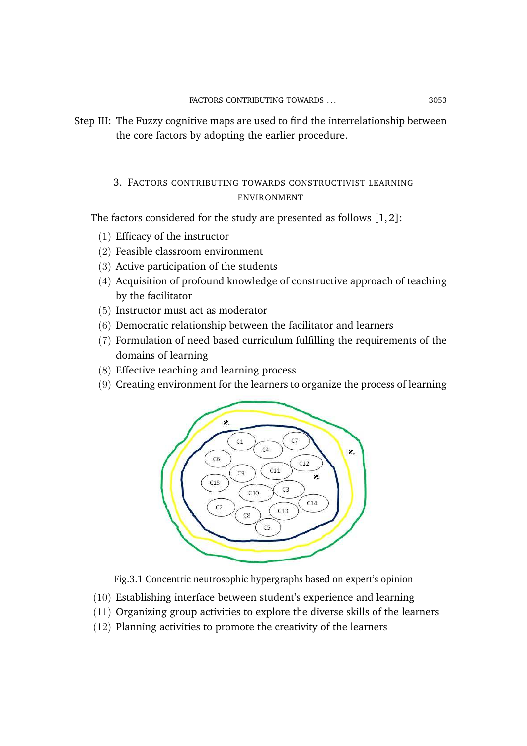Step III: The Fuzzy cognitive maps are used to find the interrelationship between the core factors by adopting the earlier procedure.

# 3. FACTORS CONTRIBUTING TOWARDS CONSTRUCTIVIST LEARNING ENVIRONMENT

The factors considered for the study are presented as follows [1, 2]:

- (1) Efficacy of the instructor
- (2) Feasible classroom environment
- (3) Active participation of the students
- (4) Acquisition of profound knowledge of constructive approach of teaching by the facilitator
- (5) Instructor must act as moderator
- (6) Democratic relationship between the facilitator and learners
- (7) Formulation of need based curriculum fulfilling the requirements of the domains of learning
- (8) Effective teaching and learning process
- (9) Creating environment for the learners to organize the process of learning



Fig.3.1 Concentric neutrosophic hypergraphs based on expert's opinion

- (10) Establishing interface between student's experience and learning
- (11) Organizing group activities to explore the diverse skills of the learners
- (12) Planning activities to promote the creativity of the learners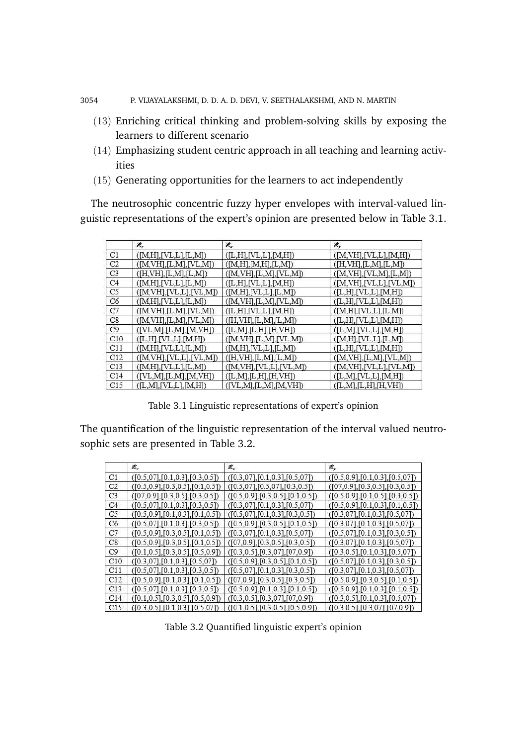3054 P. VIJAYALAKSHMI, D. D. A. D. DEVI, V. SEETHALAKSHMI, AND N. MARTIN

- (13) Enriching critical thinking and problem-solving skills by exposing the learners to different scenario
- (14) Emphasizing student centric approach in all teaching and learning activities
- (15) Generating opportunities for the learners to act independently

The neutrosophic concentric fuzzy hyper envelopes with interval-valued linguistic representations of the expert's opinion are presented below in Table 3.1.

|                | Æ,                       | Æ,                                        | æ,                                                 |
|----------------|--------------------------|-------------------------------------------|----------------------------------------------------|
| C1             | ([M,H],[VL,L],[L,M])     | (L,H],[VL,L],[M,H])                       | ([M,VH],[VL,L],[M,H])                              |
| C <sub>2</sub> | ([M,VH],[L,M],[VL,M])    | ([M,H],[M,H],[L,M])                       | (H,VH],[L,M],[L,M])                                |
| C <sub>3</sub> | ([H,VH],[L,M],[L,M])     | ([M,VH],[L,M],[VL,M])                     | ([M,VH],[VL,M],[L,M])                              |
| C <sub>4</sub> | ([M,H],[VL,L],[L,M])     | $(L,H,[\text{VL},L],[\text{M},\text{H}])$ | ([M,VH],[VL,L],[VL,M])                             |
| C <sub>5</sub> | ([M,VH],[VL,L],[VL,M])   | ([M,H],[VL,L],[L,M])                      | $(L,H,[\text{VL},L],[\text{M},\text{H}])$          |
| C <sub>6</sub> | (M,H],[VL,L],[L,M])      | ([M,VH],[L,M],[VL,M])                     | $([L,H],[\text{VL},\text{L}],[\text{M},\text{H}])$ |
| C7             | ([M,VH],[L,M],[VL,M])    | ([L,H],[VL,L],[M,H])                      | ([M,H],[VL,L],[L,M])                               |
| C8             | ([M,VH],[L,M],[VL,M])    | (H,VH],[L,M],[L,M])                       | $(L,H,[\text{VL},L],[\text{M},\text{H}])$          |
| C9             | $($ [VL,M],[L,M],[M,VH]) | (L.M, [L,H], [H, VH])                     | (L,M,[VL,L],[M,H])                                 |
| C10            | (L,H],[VL,L],[M,H])      | ([M,VH],[L,M],[VL,M])                     | ([M,H],[VL,L],[L,M])                               |
| C11            | (M,H],[VL,L],[L,M])      | ([M,H],[VL,L],[L,M])                      | (L,H],[VL,L],[M,H])                                |
| C12            | ([M,VH],[VL,L],[VL,M])   | ([H,VH],[L,M],[L,M])                      | ([M,VH],[L,M],[VL,M])                              |
| C13            | ([M,H],[VL,L],[L,M])     | ([M,VH],[VL,L],[VL,M])                    | ([M,VH],[VL,L],[VL,M])                             |
| C14            | ([VL,M],[L,M],[M,VH])    | (L,M,[L,H],[H,VH])                        | ([L,M],[VL,L],[M,H])                               |
| C15            | (LLM1, [VL, L1, [M, H])  | (IVL.M. [L.M. [M.VH])                     | ( [L,M], [L,H], [H,VH])                            |

Table 3.1 Linguistic representations of expert's opinion

The quantification of the linguistic representation of the interval valued neutrosophic sets are presented in Table 3.2.

|                 | Æ,                                   | Æ.,                                        | æ,                                   |
|-----------------|--------------------------------------|--------------------------------------------|--------------------------------------|
| C1              | ([0.5, 07], [0.1, 0.3], [0.3, 0.5])  | ([0.3, 0.7], [0.1, 0.3], [0.5, 0.07])      | ([0.5, 0.9], [0.1, 0.3], [0.5, 07])  |
| C <sub>2</sub>  | ([0.5, 0.9], [0.3, 0.5], [0.1, 0.5]) | ([0.5, 07], [0.5, 07], [0.3, 0.5])         | ([07, 0.9], [0.3, 0.5], [0.3, 0.5])  |
| C <sub>3</sub>  | ([07, 0.9], [0.3, 0.5], [0.3, 0.5])  | ([0.5, 0.9], [0.3, 0.5], [0.1, 0.5])       | ([0.5, 0.9], [0.1, 0.5], [0.3, 0.5]) |
| C <sub>4</sub>  | ([0.5, 07], [0.1, 0.3], [0.3, 0.5])  | ([0.3, 07], [0.1, 0.3], [0.5, 07])         | ([0.5, 0.9], [0.1, 0.3], [0.1, 0.5]) |
| C5              | ([0.5, 0.9], [0.1, 0.3], [0.1, 0.5]) | ( [0.5, 07], [0.1, 0.3], [0.3, 0.5])       | ([0.3, 07], [0.1, 0.3], [0.5, 07])   |
| C <sub>6</sub>  | ([0.5, 07], [0.1, 0.3], [0.3, 0.5])  | ([0.5, 0.9], [0.3, 0.5], [0.1, 0.5])       | ([0.3, 07], [0.1, 0.3], [0.5, 07])   |
| C7              | ([0.5, 0.9], [0.3, 0.5], [0.1, 0.5]) | ([0.3, 07], [0.1, 0.3], [0.5, 07])         | ([0.5, 07], [0.1, 0.3], [0.3, 0.5])  |
| C8              | ([0.5, 0.9], [0.3, 0.5], [0.1, 0.5]) | ( [07, 0.9], [0.3, 0.5], [0.3, 0.5])       | ([0.3, 07], [0.1, 0.3], [0.5, 07])   |
| C9              | ([0.1, 0.5], [0.3, 0.5], [0.5, 0.9]) | ([0.3, 0.5], [0.3, 0.7], [0.7, 0.9])       | ([0.3, 0.5], [0.1, 0.3], [0.5, 07])  |
| C10             | ([0.3, 07], [0.1, 0.3], [0.5, 07])   | ( [0.5, 0.9], [0.3, 0.5], [0.1, 0.5])      | ([0.5, 07], [0.1, 0.3], [0.3, 0.5])  |
| C11             | ([0.5, 07], [0.1, 0.3], [0.3, 0.5])  | ([0.5, 07], [0.1, 0.3], [0.3, 0.5])        | ([0.3, 07], [0.1, 0.3], [0.5, 07])   |
| C12             | ([0.5, 0.9], [0.1, 0.3], [0.1, 0.5]) | ( [07, 0.9], [0.3, 0.5], [0.3, 0.5])       | ([0.5, 0.9], [0.3, 0.5], [0.1, 0.5]) |
| C <sub>13</sub> | ([0.5, 07], [0.1, 0.3], [0.3, 0.5])  | ([0.5, 0.9], [0.1, 0.3], [0.1, 0.5])       | ([0.5, 0.9], [0.1, 0.3], [0.1, 0.5]) |
| C14             | ([0.1, 0.5], [0.3, 0.5], [0.5, 0.9]) | $(0.3, 0.5]$ , $[0.3, 0.7]$ , $[0.7, 0.9]$ | ([0.3, 0.5], [0.1, 0.3], [0.5, 07])  |
| C15             | ([0.3, 0.5], [0.1, 0.3], [0.5, 07])  | ([0.1, 0.5], [0.3, 0.5], [0.5, 0.9])       | ([0.3, 0.5], [0.3, 0.7], [0.7, 0.9]) |

Table 3.2 Quantified linguistic expert's opinion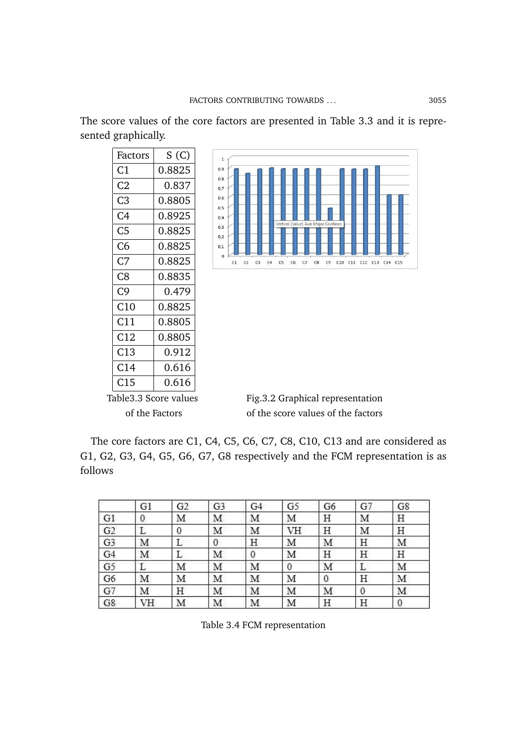The score values of the core factors are presented in Table 3.3 and it is represented graphically.

| Factors         | S (C)  |
|-----------------|--------|
| C1              | 0.8825 |
| C2              | 0.837  |
| C3              | 0.8805 |
| C4              | 0.8925 |
| C <sub>5</sub>  | 0.8825 |
| C6              | 0.8825 |
| C7              | 0.8825 |
| C8              | 0.8835 |
| C9              | 0.479  |
| C10             | 0.8825 |
| C11             | 0.8805 |
| C12             | 0.8805 |
| C13             | 0.912  |
| C14             | 0.616  |
| C <sub>15</sub> | 0.616  |
|                 |        |



Table3.3 Score values Fig.3.2 Graphical representation of the Factors of the score values of the factors

The core factors are C1, C4, C5, C6, C7, C8, C10, C13 and are considered as G1, G2, G3, G4, G5, G6, G7, G8 respectively and the FCM representation is as follows

|                | G1               | G2 | G <sub>3</sub> | G4 | G <sub>5</sub> | G6 | G7 | G8               |
|----------------|------------------|----|----------------|----|----------------|----|----|------------------|
| G1             | $\boldsymbol{0}$ | Μ  | Μ              | Μ  | Μ              | Η  | Μ  | Η                |
| G2             | L                | 0  | М              | М  | VH             | Η  | М  | H                |
| G <sub>3</sub> | М                | L  | 0              | Η  | М              | Μ  | Η  | M                |
| G <sub>4</sub> | М                | L  | Μ              | 0  | Μ              | Η  | Η  | Η                |
| G5             | L                | М  | Μ              | Μ  | 0              | М  | L  | Μ                |
| G6             | М                | М  | Μ              | M  | Μ              | 0  | Η  | Μ                |
| G7             | М                | Η  | М              | Μ  | М              | М  | 0  | M                |
| G8             | VH               | Μ  | Μ              | M  | Μ              | Η  | Η  | $\boldsymbol{0}$ |

Table 3.4 FCM representation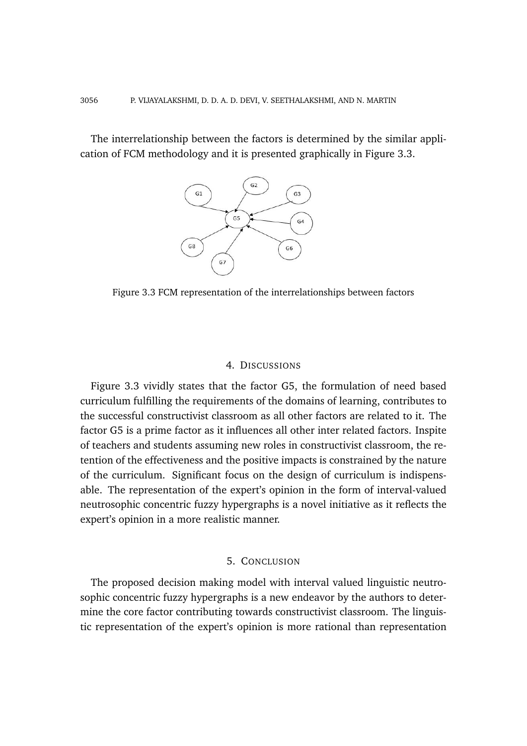The interrelationship between the factors is determined by the similar application of FCM methodology and it is presented graphically in Figure 3.3.



Figure 3.3 FCM representation of the interrelationships between factors

## 4. DISCUSSIONS

Figure 3.3 vividly states that the factor G5, the formulation of need based curriculum fulfilling the requirements of the domains of learning, contributes to the successful constructivist classroom as all other factors are related to it. The factor G5 is a prime factor as it influences all other inter related factors. Inspite of teachers and students assuming new roles in constructivist classroom, the retention of the effectiveness and the positive impacts is constrained by the nature of the curriculum. Significant focus on the design of curriculum is indispensable. The representation of the expert's opinion in the form of interval-valued neutrosophic concentric fuzzy hypergraphs is a novel initiative as it reflects the expert's opinion in a more realistic manner.

# 5. CONCLUSION

The proposed decision making model with interval valued linguistic neutrosophic concentric fuzzy hypergraphs is a new endeavor by the authors to determine the core factor contributing towards constructivist classroom. The linguistic representation of the expert's opinion is more rational than representation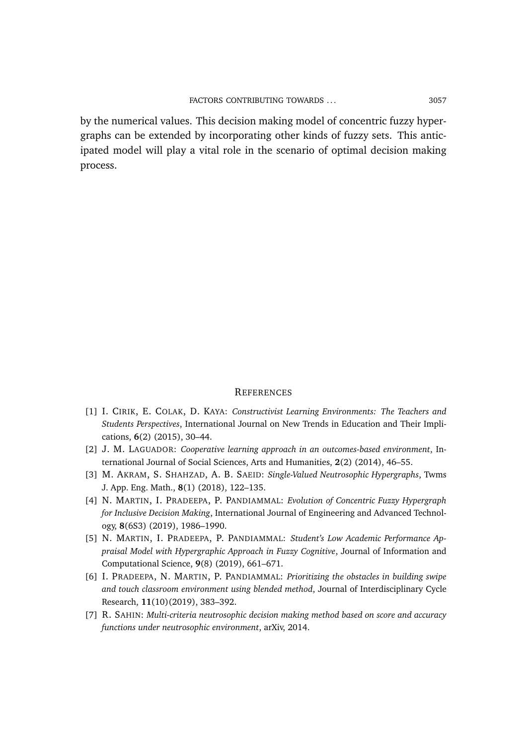by the numerical values. This decision making model of concentric fuzzy hypergraphs can be extended by incorporating other kinds of fuzzy sets. This anticipated model will play a vital role in the scenario of optimal decision making process.

#### **REFERENCES**

- [1] I. CIRIK, E. COLAK, D. KAYA: *Constructivist Learning Environments: The Teachers and Students Perspectives*, International Journal on New Trends in Education and Their Implications, **6**(2) (2015), 30–44.
- [2] J. M. LAGUADOR: *Cooperative learning approach in an outcomes-based environment*, International Journal of Social Sciences, Arts and Humanities, **2**(2) (2014), 46–55.
- [3] M. AKRAM, S. SHAHZAD, A. B. SAEID: *Single-Valued Neutrosophic Hypergraphs*, Twms J. App. Eng. Math., **8**(1) (2018), 122–135.
- [4] N. MARTIN, I. PRADEEPA, P. PANDIAMMAL: *Evolution of Concentric Fuzzy Hypergraph for Inclusive Decision Making*, International Journal of Engineering and Advanced Technology, **8**(6S3) (2019), 1986–1990.
- [5] N. MARTIN, I. PRADEEPA, P. PANDIAMMAL: *Student's Low Academic Performance Appraisal Model with Hypergraphic Approach in Fuzzy Cognitive*, Journal of Information and Computational Science, **9**(8) (2019), 661–671.
- [6] I. PRADEEPA, N. MARTIN, P. PANDIAMMAL: *Prioritizing the obstacles in building swipe and touch classroom environment using blended method*, Journal of Interdisciplinary Cycle Research, **11**(10)(2019), 383–392.
- [7] R. SAHIN: *Multi-criteria neutrosophic decision making method based on score and accuracy functions under neutrosophic environment*, arXiv, 2014.